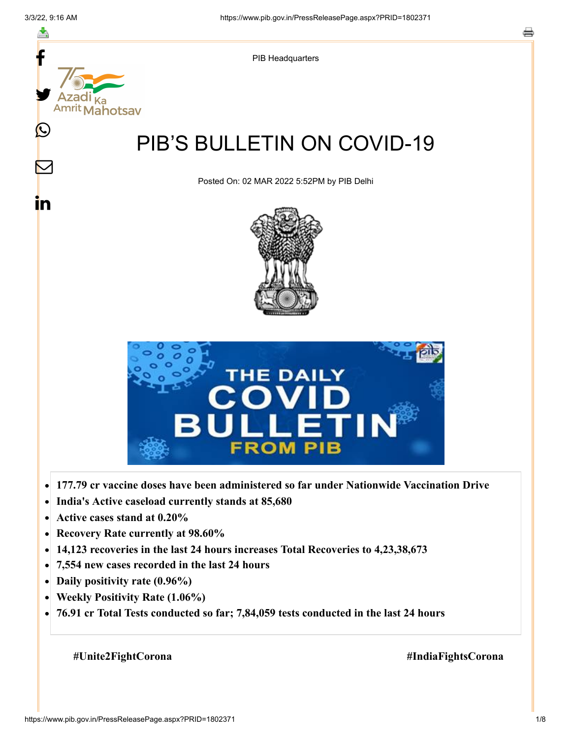

- **Active cases stand at 0.20%**  $\bullet$
- **Recovery Rate currently at 98.60%**  $\bullet$
- **14,123 recoveries in the last 24 hours increases Total Recoveries to 4,23,38,673**  $\bullet$
- **7,554 new cases recorded in the last 24 hours**  $\bullet$
- **Daily positivity rate (0.96%)**
- **Weekly Positivity Rate (1.06%)**  $\bullet$
- **76.91 cr Total Tests conducted so far; 7,84,059 tests conducted in the last 24 hours**  $\bullet$

 **#Unite2FightCorona #IndiaFightsCorona**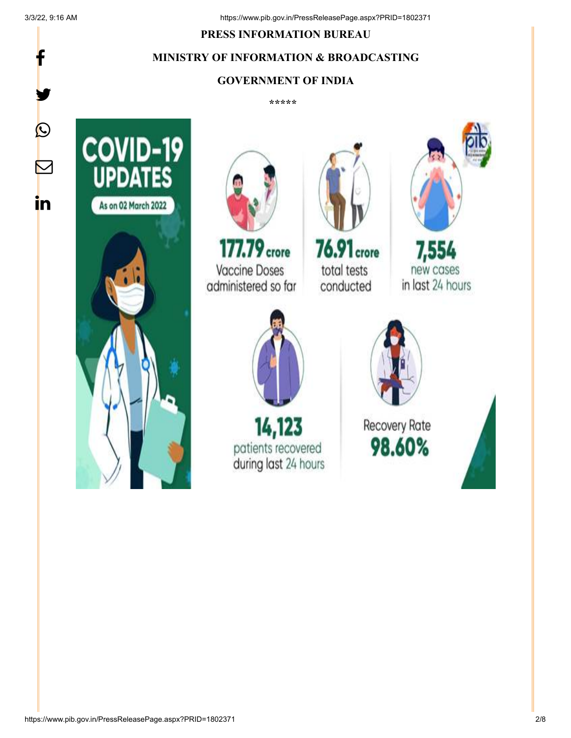f

y.

P

 $\bm \nabla$ 

in

### **PRESS INFORMATION BUREAU**

# **MINISTRY OF INFORMATION & BROADCASTING**

## **GOVERNMENT OF INDIA**

**\*\*\*\*\*** 





177.79 crore **Vaccine Doses** administered so far



**76.91** crore total tests conducted



7,554 new cases in last 24 hours



14,123 patients recovered during last 24 hours



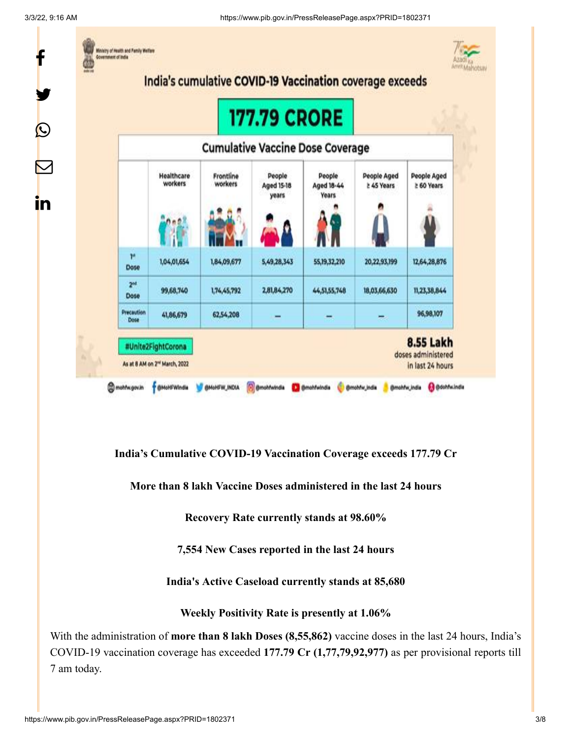

**India's Cumulative COVID-19 Vaccination Coverage exceeds 177.79 Cr**

**More than 8 lakh Vaccine Doses administered in the last 24 hours**

**Recovery Rate currently stands at 98.60%**

**7,554 New Cases reported in the last 24 hours**

**India's Active Caseload currently stands at 85,680**

**Weekly Positivity Rate is presently at 1.06%**

With the administration of **more than 8 lakh Doses (8,55,862)** vaccine doses in the last 24 hours, India's COVID-19 vaccination coverage has exceeded **177.79 Cr (1,77,79,92,977)** as per provisional reports till 7 am today.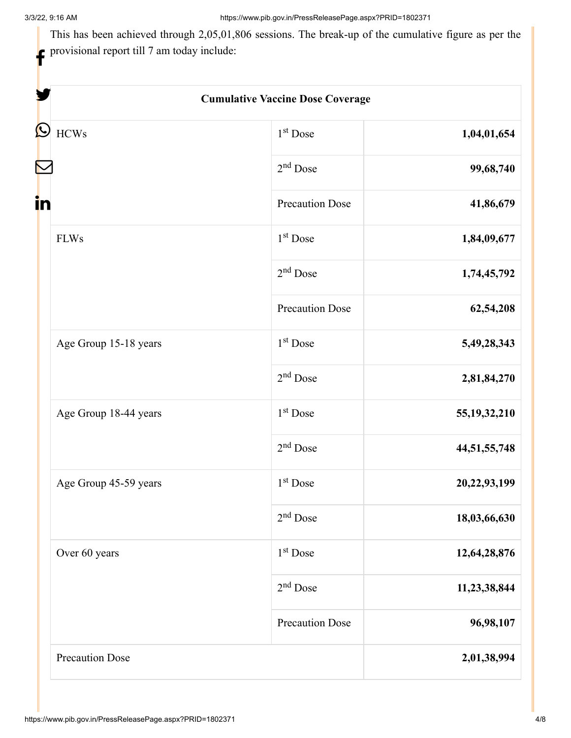This has been achieved through 2,05,01,806 sessions. The break-up of the cumulative figure as per the provisional report till 7 am today include:

| <b>Cumulative Vaccine Dose Coverage</b> |                        |                 |
|-----------------------------------------|------------------------|-----------------|
| <b>HCWs</b>                             | $1st$ Dose             | 1,04,01,654     |
|                                         | $2nd$ Dose             | 99,68,740       |
|                                         | <b>Precaution Dose</b> | 41,86,679       |
| <b>FLWs</b>                             | $1st$ Dose             | 1,84,09,677     |
|                                         | $2nd$ Dose             | 1,74,45,792     |
|                                         | <b>Precaution Dose</b> | 62,54,208       |
| Age Group 15-18 years                   | 1 <sup>st</sup> Dose   | 5,49,28,343     |
|                                         | $2nd$ Dose             | 2,81,84,270     |
| Age Group 18-44 years                   | $1st$ Dose             | 55, 19, 32, 210 |
|                                         | $2nd$ Dose             | 44,51,55,748    |
| Age Group 45-59 years                   | 1 <sup>st</sup> Dose   | 20,22,93,199    |
|                                         | $2nd$ Dose             | 18,03,66,630    |
| Over 60 years                           | 1 <sup>st</sup> Dose   | 12,64,28,876    |
|                                         | $2nd$ Dose             | 11,23,38,844    |
|                                         | <b>Precaution Dose</b> | 96,98,107       |
| <b>Precaution Dose</b>                  |                        | 2,01,38,994     |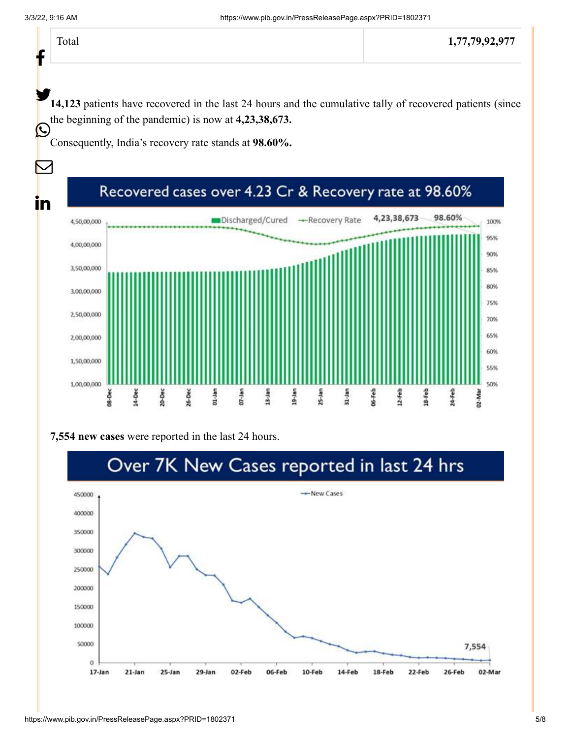f

Ŀ

 $\bm{\nabla}$ 

<u>in</u>

14,123 patients have recovered in the last 24 hours and the cumulative tally of recovered patients (since the beginning of the pandemic) is now at **4,23,38,673.**

Consequently, India's recovery rate stands at **98.60%.**

#### Recovered cases over 4.23 Cr & Recovery rate at 98.60% 98.60% 4,23,38,673 Discharged/Cured -Recovery Rate 4,50,00,000 100% 95% 4,00,00,000 90% 3,50,00,000 85% 80% 3,00,00,000 75% 2,50,00,000 70% 65% 2,00,00,000 60% 1,50,00,000 55% 1,00,00,000 50% 26-Dec X6-Feb 12-Feb 18-Feb 08-Dec 14-Dec 20-Dec 01-Jan  $07 -$ Jan  $13 - Jan$ 19-Jan  $25 - Jan$ 31-Jan 24-Feb 02-Mar

### **7,554 new cases** were reported in the last 24 hours.

# Over 7K New Cases reported in last 24 hrs

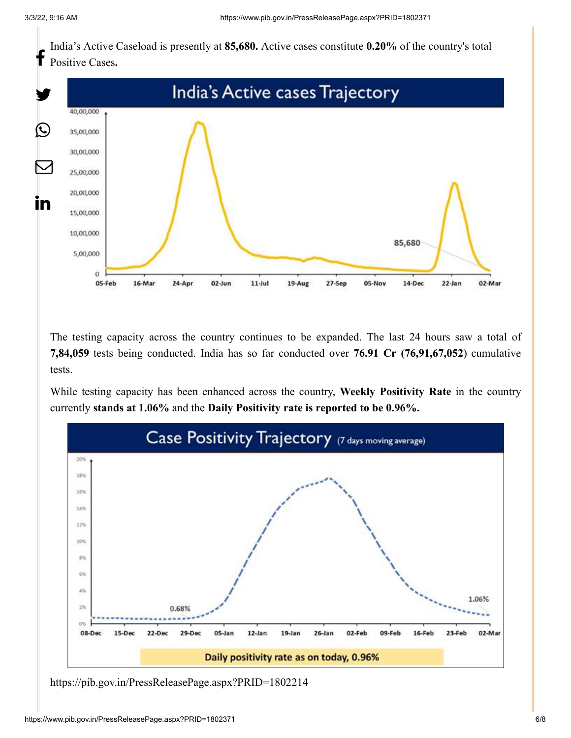India's Active Caseload is presently at **85,680.** Active cases constitute **0.20%** of the country's total Positive Cases**.** f



The testing capacity across the country continues to be expanded. The last 24 hours saw a total of **7,84,059** tests being conducted. India has so far conducted over **76.91 Cr (76,91,67,052**) cumulative tests.

While testing capacity has been enhanced across the country, **Weekly Positivity Rate** in the country currently **stands at 1.06%** and the **Daily Positivity rate is reported to be 0.96%.**



<https://pib.gov.in/PressReleasePage.aspx?PRID=1802214>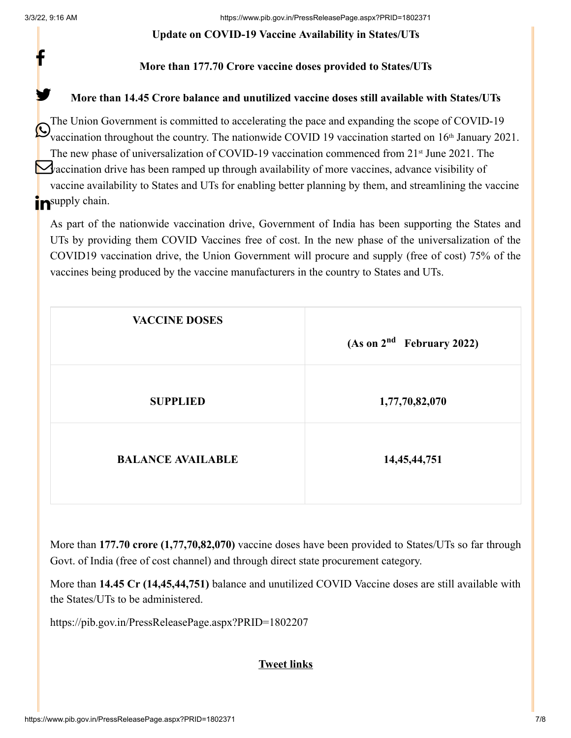f

y.

### **Update on COVID-19 Vaccine Availability in States/UTs**

### **More than 177.70 Crore vaccine doses provided to States/UTs**

### **More than 14.45 Crore balance and unutilized vaccine doses still available with States/UTs**

The Union Government is committed to accelerating the pace and expanding the scope of COVID-19 We accination throughout the country. The nationwide COVID 19 vaccination started on 16<sup>th</sup> January 2021. The new phase of universalization of COVID-19 vaccination commenced from  $21<sup>st</sup>$  June 2021. The Vaccination drive has been ramped up through availability of more vaccines, advance visibility of vaccine availability to States and UTs for enabling better planning by them, and streamlining the vaccine **in** supply chain.

As part of the nationwide vaccination drive, Government of India has been supporting the States and UTs by providing them COVID Vaccines free of cost. In the new phase of the universalization of the COVID19 vaccination drive, the Union Government will procure and supply (free of cost) 75% of the vaccines being produced by the vaccine manufacturers in the country to States and UTs.

| <b>VACCINE DOSES</b>     | (As on 2 <sup>nd</sup> February 2022) |
|--------------------------|---------------------------------------|
| <b>SUPPLIED</b>          | 1,77,70,82,070                        |
| <b>BALANCE AVAILABLE</b> | 14, 45, 44, 751                       |

More than **177.70 crore (1,77,70,82,070)** vaccine doses have been provided to States/UTs so far through Govt. of India (free of cost channel) and through direct state procurement category.

More than **14.45 Cr (14,45,44,751)** balance and unutilized COVID Vaccine doses are still available with the States/UTs to be administered.

<https://pib.gov.in/PressReleasePage.aspx?PRID=1802207>

### **Tweet links**